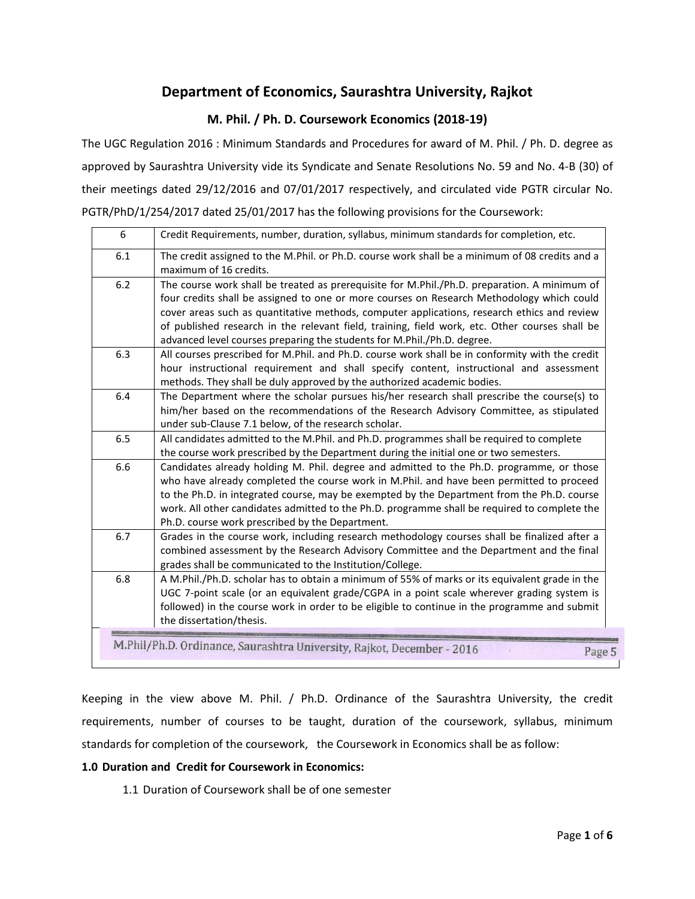# **Department of Economics, Saurashtra University, Rajkot**

### **M. Phil. / Ph. D. Coursework Economics (2018-19)**

The UGC Regulation 2016 : Minimum Standards and Procedures for award of M. Phil. / Ph. D. degree as approved by Saurashtra University vide its Syndicate and Senate Resolutions No. 59 and No. 4-B (30) of their meetings dated 29/12/2016 and 07/01/2017 respectively, and circulated vide PGTR circular No. PGTR/PhD/1/254/2017 dated 25/01/2017 has the following provisions for the Coursework:

| 6   | Credit Requirements, number, duration, syllabus, minimum standards for completion, etc.                                                                                                                                                                                                                                                                                                                                                                               |
|-----|-----------------------------------------------------------------------------------------------------------------------------------------------------------------------------------------------------------------------------------------------------------------------------------------------------------------------------------------------------------------------------------------------------------------------------------------------------------------------|
| 6.1 | The credit assigned to the M.Phil. or Ph.D. course work shall be a minimum of 08 credits and a<br>maximum of 16 credits.                                                                                                                                                                                                                                                                                                                                              |
| 6.2 | The course work shall be treated as prerequisite for M.Phil./Ph.D. preparation. A minimum of<br>four credits shall be assigned to one or more courses on Research Methodology which could<br>cover areas such as quantitative methods, computer applications, research ethics and review<br>of published research in the relevant field, training, field work, etc. Other courses shall be<br>advanced level courses preparing the students for M.Phil./Ph.D. degree. |
| 6.3 | All courses prescribed for M.Phil. and Ph.D. course work shall be in conformity with the credit<br>hour instructional requirement and shall specify content, instructional and assessment<br>methods. They shall be duly approved by the authorized academic bodies.                                                                                                                                                                                                  |
| 6.4 | The Department where the scholar pursues his/her research shall prescribe the course(s) to<br>him/her based on the recommendations of the Research Advisory Committee, as stipulated<br>under sub-Clause 7.1 below, of the research scholar.                                                                                                                                                                                                                          |
| 6.5 | All candidates admitted to the M.Phil. and Ph.D. programmes shall be required to complete<br>the course work prescribed by the Department during the initial one or two semesters.                                                                                                                                                                                                                                                                                    |
| 6.6 | Candidates already holding M. Phil. degree and admitted to the Ph.D. programme, or those<br>who have already completed the course work in M.Phil. and have been permitted to proceed<br>to the Ph.D. in integrated course, may be exempted by the Department from the Ph.D. course<br>work. All other candidates admitted to the Ph.D. programme shall be required to complete the<br>Ph.D. course work prescribed by the Department.                                 |
| 6.7 | Grades in the course work, including research methodology courses shall be finalized after a<br>combined assessment by the Research Advisory Committee and the Department and the final<br>grades shall be communicated to the Institution/College.                                                                                                                                                                                                                   |
| 6.8 | A M.Phil./Ph.D. scholar has to obtain a minimum of 55% of marks or its equivalent grade in the<br>UGC 7-point scale (or an equivalent grade/CGPA in a point scale wherever grading system is<br>followed) in the course work in order to be eligible to continue in the programme and submit<br>the dissertation/thesis.                                                                                                                                              |
|     | M.Phil/Ph.D. Ordinance, Saurashtra University, Rajkot, December - 2016<br>Page 5                                                                                                                                                                                                                                                                                                                                                                                      |

Keeping in the view above M. Phil. / Ph.D. Ordinance of the Saurashtra University, the credit requirements, number of courses to be taught, duration of the coursework, syllabus, minimum standards for completion of the coursework, the Coursework in Economics shall be as follow:

#### **1.0 Duration and Credit for Coursework in Economics:**

1.1 Duration of Coursework shall be of one semester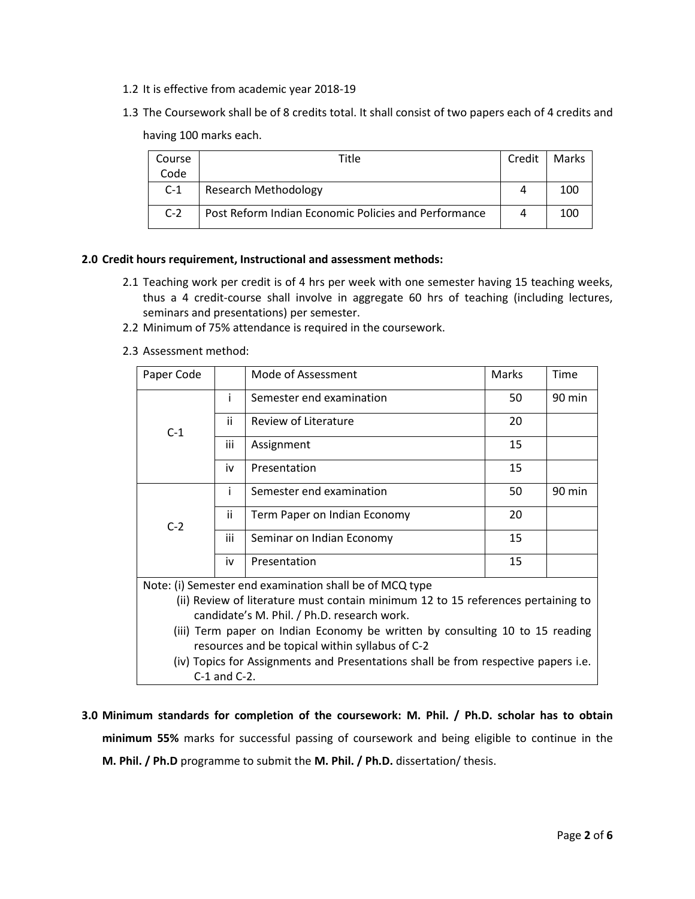- 1.2 It is effective from academic year 2018-19
- 1.3 The Coursework shall be of 8 credits total. It shall consist of two papers each of 4 credits and having 100 marks each.

| Course | Title                                                | Credit | Marks |
|--------|------------------------------------------------------|--------|-------|
| Code   |                                                      |        |       |
| $C-1$  | <b>Research Methodology</b>                          |        | 100   |
| $C-2$  | Post Reform Indian Economic Policies and Performance | 4      | 100   |

### **2.0 Credit hours requirement, Instructional and assessment methods:**

- 2.1 Teaching work per credit is of 4 hrs per week with one semester having 15 teaching weeks, thus a 4 credit-course shall involve in aggregate 60 hrs of teaching (including lectures, seminars and presentations) per semester.
- 2.2 Minimum of 75% attendance is required in the coursework.
- 2.3 Assessment method:

| Paper Code                                                                       |                   | Mode of Assessment                                                                 | Marks | Time   |
|----------------------------------------------------------------------------------|-------------------|------------------------------------------------------------------------------------|-------|--------|
|                                                                                  | i.                | Semester end examination                                                           | 50    | 90 min |
| $C-1$                                                                            | ii.               | Review of Literature                                                               | 20    |        |
|                                                                                  | iii               | Assignment                                                                         | 15    |        |
|                                                                                  | iv                | Presentation                                                                       | 15    |        |
|                                                                                  | Ť                 | Semester end examination                                                           | 50    | 90 min |
| $C-2$                                                                            | ii.               | Term Paper on Indian Economy                                                       | 20    |        |
|                                                                                  | iii               | Seminar on Indian Economy                                                          | 15    |        |
|                                                                                  | iv                | Presentation                                                                       | 15    |        |
|                                                                                  |                   | Note: (i) Semester end examination shall be of MCQ type                            |       |        |
| (ii) Review of literature must contain minimum 12 to 15 references pertaining to |                   |                                                                                    |       |        |
| candidate's M. Phil. / Ph.D. research work.                                      |                   |                                                                                    |       |        |
| (iii) Term paper on Indian Economy be written by consulting 10 to 15 reading     |                   |                                                                                    |       |        |
| resources and be topical within syllabus of C-2                                  |                   |                                                                                    |       |        |
|                                                                                  |                   | (iv) Topics for Assignments and Presentations shall be from respective papers i.e. |       |        |
|                                                                                  | $C-1$ and $C-2$ . |                                                                                    |       |        |

**3.0 Minimum standards for completion of the coursework: M. Phil. / Ph.D. scholar has to obtain minimum 55%** marks for successful passing of coursework and being eligible to continue in the **M. Phil. / Ph.D** programme to submit the **M. Phil. / Ph.D.** dissertation/ thesis.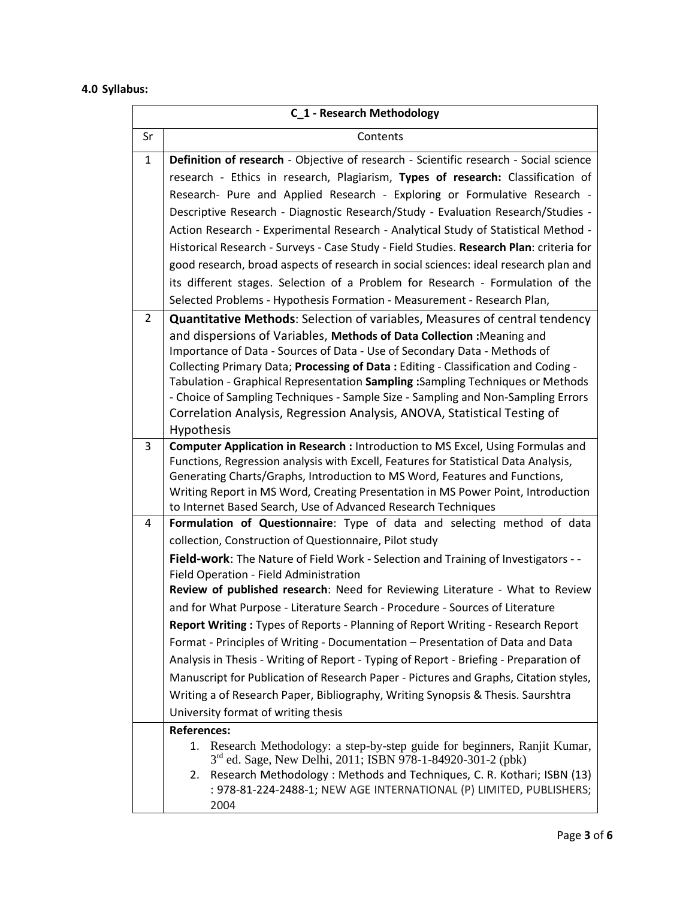# **4.0 Syllabus:**

| C_1 - Research Methodology |                                                                                                                                                                     |  |
|----------------------------|---------------------------------------------------------------------------------------------------------------------------------------------------------------------|--|
| Sr                         | Contents                                                                                                                                                            |  |
| $\mathbf{1}$               | Definition of research - Objective of research - Scientific research - Social science                                                                               |  |
|                            | research - Ethics in research, Plagiarism, Types of research: Classification of                                                                                     |  |
|                            | Research- Pure and Applied Research - Exploring or Formulative Research -                                                                                           |  |
|                            | Descriptive Research - Diagnostic Research/Study - Evaluation Research/Studies -                                                                                    |  |
|                            | Action Research - Experimental Research - Analytical Study of Statistical Method -                                                                                  |  |
|                            | Historical Research - Surveys - Case Study - Field Studies. Research Plan: criteria for                                                                             |  |
|                            | good research, broad aspects of research in social sciences: ideal research plan and                                                                                |  |
|                            | its different stages. Selection of a Problem for Research - Formulation of the                                                                                      |  |
|                            | Selected Problems - Hypothesis Formation - Measurement - Research Plan,                                                                                             |  |
| 2                          | <b>Quantitative Methods:</b> Selection of variables, Measures of central tendency                                                                                   |  |
|                            | and dispersions of Variables, Methods of Data Collection : Meaning and                                                                                              |  |
|                            | Importance of Data - Sources of Data - Use of Secondary Data - Methods of                                                                                           |  |
|                            | Collecting Primary Data; Processing of Data: Editing - Classification and Coding -                                                                                  |  |
|                            | Tabulation - Graphical Representation Sampling : Sampling Techniques or Methods<br>- Choice of Sampling Techniques - Sample Size - Sampling and Non-Sampling Errors |  |
|                            | Correlation Analysis, Regression Analysis, ANOVA, Statistical Testing of                                                                                            |  |
|                            | Hypothesis                                                                                                                                                          |  |
| 3                          | Computer Application in Research : Introduction to MS Excel, Using Formulas and                                                                                     |  |
|                            | Functions, Regression analysis with Excell, Features for Statistical Data Analysis,                                                                                 |  |
|                            | Generating Charts/Graphs, Introduction to MS Word, Features and Functions,                                                                                          |  |
|                            | Writing Report in MS Word, Creating Presentation in MS Power Point, Introduction                                                                                    |  |
| 4                          | to Internet Based Search, Use of Advanced Research Techniques<br>Formulation of Questionnaire: Type of data and selecting method of data                            |  |
|                            | collection, Construction of Questionnaire, Pilot study                                                                                                              |  |
|                            | Field-work: The Nature of Field Work - Selection and Training of Investigators - -                                                                                  |  |
|                            | Field Operation - Field Administration                                                                                                                              |  |
|                            | Review of published research: Need for Reviewing Literature - What to Review                                                                                        |  |
|                            | and for What Purpose - Literature Search - Procedure - Sources of Literature                                                                                        |  |
|                            | Report Writing: Types of Reports - Planning of Report Writing - Research Report                                                                                     |  |
|                            | Format - Principles of Writing - Documentation - Presentation of Data and Data                                                                                      |  |
|                            | Analysis in Thesis - Writing of Report - Typing of Report - Briefing - Preparation of                                                                               |  |
|                            | Manuscript for Publication of Research Paper - Pictures and Graphs, Citation styles,                                                                                |  |
|                            | Writing a of Research Paper, Bibliography, Writing Synopsis & Thesis. Saurshtra                                                                                     |  |
|                            | University format of writing thesis                                                                                                                                 |  |
|                            | <b>References:</b>                                                                                                                                                  |  |
|                            | 1. Research Methodology: a step-by-step guide for beginners, Ranjit Kumar,<br>3 <sup>rd</sup> ed. Sage, New Delhi, 2011; ISBN 978-1-84920-301-2 (pbk)               |  |
|                            | Research Methodology: Methods and Techniques, C. R. Kothari; ISBN (13)<br>2.                                                                                        |  |
|                            | : 978-81-224-2488-1; NEW AGE INTERNATIONAL (P) LIMITED, PUBLISHERS;<br>2004                                                                                         |  |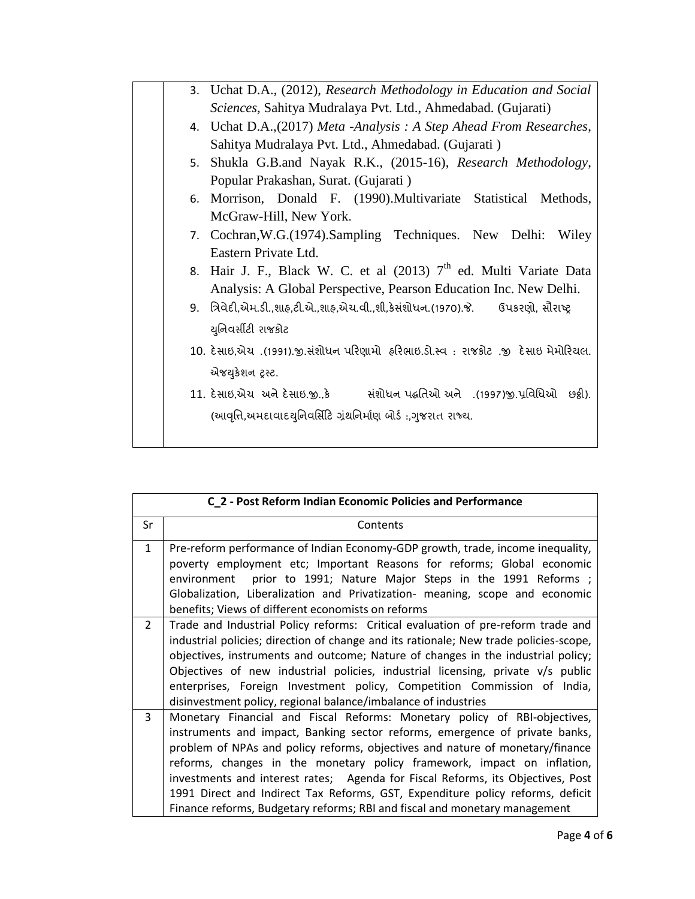|  | 3. Uchat D.A., (2012), Research Methodology in Education and Social                    |
|--|----------------------------------------------------------------------------------------|
|  | Sciences, Sahitya Mudralaya Pvt. Ltd., Ahmedabad. (Gujarati)                           |
|  | 4. Uchat D.A., (2017) Meta - Analysis: A Step Ahead From Researches,                   |
|  | Sahitya Mudralaya Pvt. Ltd., Ahmedabad. (Gujarati)                                     |
|  | 5. Shukla G.B.and Nayak R.K., (2015-16), Research Methodology,                         |
|  | Popular Prakashan, Surat. (Gujarati)                                                   |
|  | 6. Morrison, Donald F. (1990). Multivariate Statistical Methods,                       |
|  | McGraw-Hill, New York.                                                                 |
|  | 7. Cochran, W.G. (1974). Sampling Techniques. New Delhi:<br>Wiley                      |
|  | Eastern Private Ltd.                                                                   |
|  | 8. Hair J. F., Black W. C. et al (2013) 7 <sup>th</sup> ed. Multi Variate Data         |
|  | Analysis: A Global Perspective, Pearson Education Inc. New Delhi.                      |
|  | 9. ત્રિવેદી,એમ.ડી.,શાહ,ટી.એ.,શાહ,એચ.વી.,શી,કેસંશોધન.(1970).જે. ઉપકરણો, સૌરાષ્ટ્ર       |
|  | યુનિવર્સીટી રાજકોટ                                                                     |
|  | 10. દેસાઇ,એચ .(1991).જી.સંશોધન પરિણામો  હરિભાઇ.ડો.સ્વ : રાજકોટ .જી  દેસાઇ મેમોરિયલ.    |
|  | એજયુકેશન ટ્રસ્ટ.                                                                       |
|  | 11. દેસાઇ,એચ અને દેસાઇ.જીકે          સંશોધન પદ્ધતિઓ અને   .(1997)જી.પ્રવિધિઓ   છઠ્ઠી). |
|  |                                                                                        |
|  | (આવૃત્તિ,અમદાવાદયુનિવર્સિટિ ગ્રંથનિર્માણ બોર્ડ :,ગુજરાત રાજ્ય.                         |
|  |                                                                                        |

|                | C_2 - Post Reform Indian Economic Policies and Performance                                                                                                                                                                                                                                                                                                                                                                                                                                                                                                              |
|----------------|-------------------------------------------------------------------------------------------------------------------------------------------------------------------------------------------------------------------------------------------------------------------------------------------------------------------------------------------------------------------------------------------------------------------------------------------------------------------------------------------------------------------------------------------------------------------------|
| Sr             | Contents                                                                                                                                                                                                                                                                                                                                                                                                                                                                                                                                                                |
| $\mathbf{1}$   | Pre-reform performance of Indian Economy-GDP growth, trade, income inequality,<br>poverty employment etc; Important Reasons for reforms; Global economic<br>environment prior to 1991; Nature Major Steps in the 1991 Reforms ;<br>Globalization, Liberalization and Privatization- meaning, scope and economic<br>benefits; Views of different economists on reforms                                                                                                                                                                                                   |
| $\overline{2}$ | Trade and Industrial Policy reforms: Critical evaluation of pre-reform trade and<br>industrial policies; direction of change and its rationale; New trade policies-scope,<br>objectives, instruments and outcome; Nature of changes in the industrial policy;<br>Objectives of new industrial policies, industrial licensing, private $v/s$ public<br>enterprises, Foreign Investment policy, Competition Commission of India,<br>disinvestment policy, regional balance/imbalance of industries                                                                        |
| 3              | Monetary Financial and Fiscal Reforms: Monetary policy of RBI-objectives,<br>instruments and impact, Banking sector reforms, emergence of private banks,<br>problem of NPAs and policy reforms, objectives and nature of monetary/finance<br>reforms, changes in the monetary policy framework, impact on inflation,<br>investments and interest rates; Agenda for Fiscal Reforms, its Objectives, Post<br>1991 Direct and Indirect Tax Reforms, GST, Expenditure policy reforms, deficit<br>Finance reforms, Budgetary reforms; RBI and fiscal and monetary management |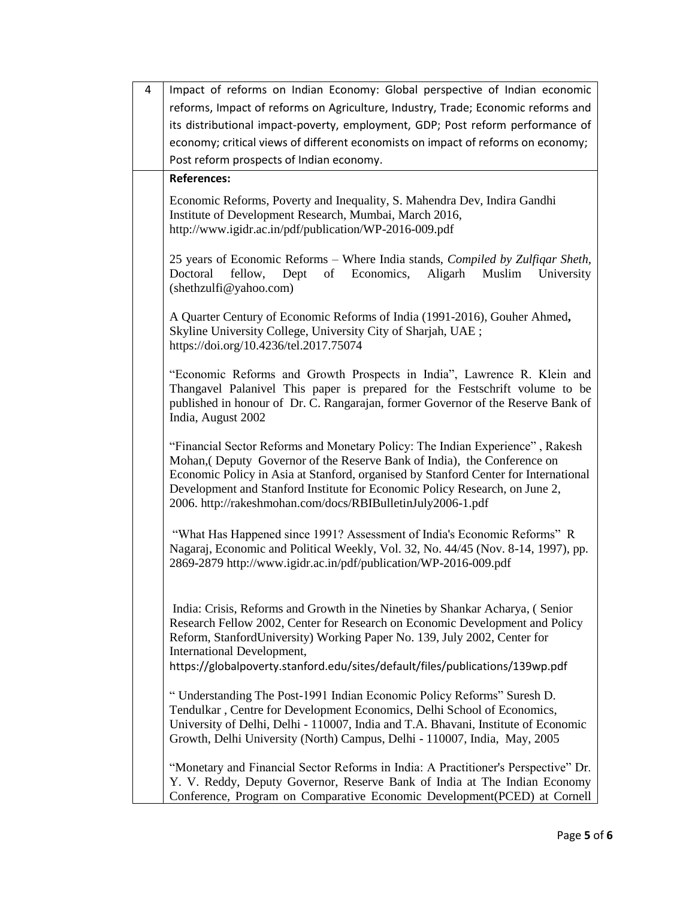| 4 | Impact of reforms on Indian Economy: Global perspective of Indian economic                                                                                                                                                                                                                                                                                                                     |
|---|------------------------------------------------------------------------------------------------------------------------------------------------------------------------------------------------------------------------------------------------------------------------------------------------------------------------------------------------------------------------------------------------|
|   | reforms, Impact of reforms on Agriculture, Industry, Trade; Economic reforms and                                                                                                                                                                                                                                                                                                               |
|   | its distributional impact-poverty, employment, GDP; Post reform performance of                                                                                                                                                                                                                                                                                                                 |
|   | economy; critical views of different economists on impact of reforms on economy;                                                                                                                                                                                                                                                                                                               |
|   | Post reform prospects of Indian economy.                                                                                                                                                                                                                                                                                                                                                       |
|   | <b>References:</b>                                                                                                                                                                                                                                                                                                                                                                             |
|   | Economic Reforms, Poverty and Inequality, S. Mahendra Dev, Indira Gandhi<br>Institute of Development Research, Mumbai, March 2016,<br>http://www.igidr.ac.in/pdf/publication/WP-2016-009.pdf                                                                                                                                                                                                   |
|   | 25 years of Economic Reforms – Where India stands, Compiled by Zulfiqar Sheth,<br>Doctoral<br>fellow,<br>Dept<br>Economics,<br>Aligarh<br>Muslim<br>of<br>University<br>(shethzulfi@yahoo.com)                                                                                                                                                                                                 |
|   | A Quarter Century of Economic Reforms of India (1991-2016), Gouher Ahmed,<br>Skyline University College, University City of Sharjah, UAE;<br>https://doi.org/10.4236/tel.2017.75074                                                                                                                                                                                                            |
|   | "Economic Reforms and Growth Prospects in India", Lawrence R. Klein and<br>Thangavel Palanivel This paper is prepared for the Festschrift volume to be<br>published in honour of Dr. C. Rangarajan, former Governor of the Reserve Bank of<br>India, August 2002                                                                                                                               |
|   | "Financial Sector Reforms and Monetary Policy: The Indian Experience", Rakesh<br>Mohan, (Deputy Governor of the Reserve Bank of India), the Conference on<br>Economic Policy in Asia at Stanford, organised by Stanford Center for International<br>Development and Stanford Institute for Economic Policy Research, on June 2,<br>2006. http://rakeshmohan.com/docs/RBIBulletinJuly2006-1.pdf |
|   | "What Has Happened since 1991? Assessment of India's Economic Reforms" R<br>Nagaraj, Economic and Political Weekly, Vol. 32, No. 44/45 (Nov. 8-14, 1997), pp.<br>2869-2879 http://www.igidr.ac.in/pdf/publication/WP-2016-009.pdf                                                                                                                                                              |
|   | India: Crisis, Reforms and Growth in the Nineties by Shankar Acharya, (Senior<br>Research Fellow 2002, Center for Research on Economic Development and Policy<br>Reform, StanfordUniversity) Working Paper No. 139, July 2002, Center for<br>International Development,<br>https://globalpoverty.stanford.edu/sites/default/files/publications/139wp.pdf                                       |
|   |                                                                                                                                                                                                                                                                                                                                                                                                |
|   | "Understanding The Post-1991 Indian Economic Policy Reforms" Suresh D.<br>Tendulkar, Centre for Development Economics, Delhi School of Economics,<br>University of Delhi, Delhi - 110007, India and T.A. Bhavani, Institute of Economic<br>Growth, Delhi University (North) Campus, Delhi - 110007, India, May, 2005                                                                           |
|   | "Monetary and Financial Sector Reforms in India: A Practitioner's Perspective" Dr.<br>Y. V. Reddy, Deputy Governor, Reserve Bank of India at The Indian Economy<br>Conference, Program on Comparative Economic Development(PCED) at Cornell                                                                                                                                                    |